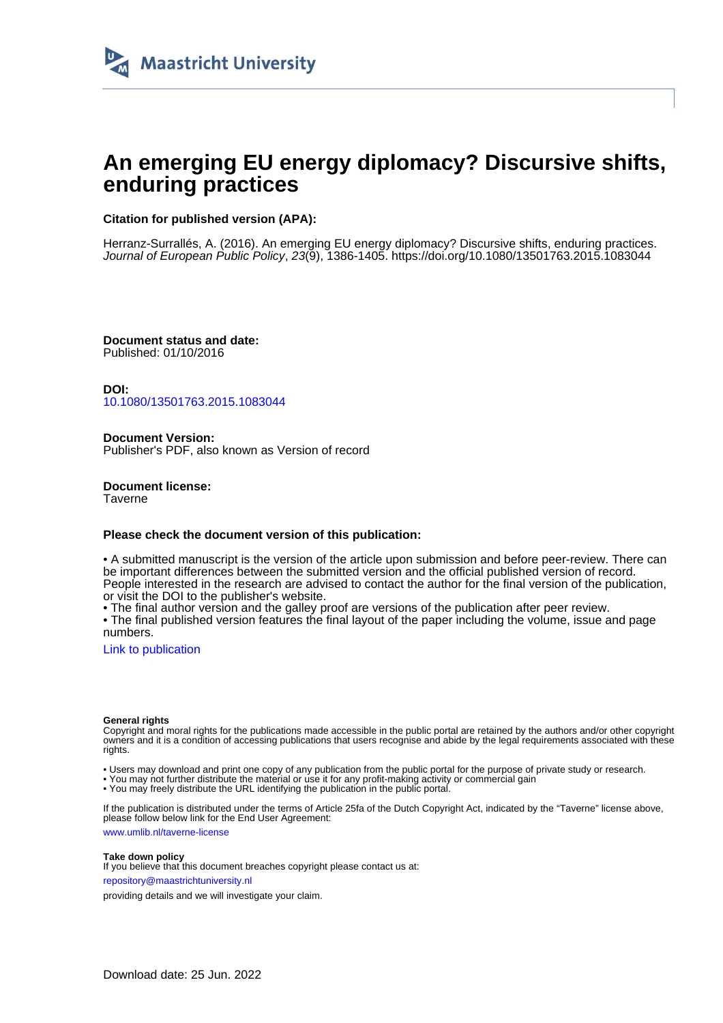

# **An emerging EU energy diplomacy? Discursive shifts, enduring practices**

### **Citation for published version (APA):**

Herranz-Surrallés, A. (2016). An emerging EU energy diplomacy? Discursive shifts, enduring practices. Journal of European Public Policy, 23(9), 1386-1405.<https://doi.org/10.1080/13501763.2015.1083044>

**Document status and date:** Published: 01/10/2016

**DOI:** [10.1080/13501763.2015.1083044](https://doi.org/10.1080/13501763.2015.1083044)

**Document Version:** Publisher's PDF, also known as Version of record

**Document license: Taverne** 

#### **Please check the document version of this publication:**

• A submitted manuscript is the version of the article upon submission and before peer-review. There can be important differences between the submitted version and the official published version of record. People interested in the research are advised to contact the author for the final version of the publication, or visit the DOI to the publisher's website.

• The final author version and the galley proof are versions of the publication after peer review.

• The final published version features the final layout of the paper including the volume, issue and page numbers.

[Link to publication](https://cris.maastrichtuniversity.nl/en/publications/0fe1c9d7-eb34-4e38-8f06-9d201b1edb77)

#### **General rights**

Copyright and moral rights for the publications made accessible in the public portal are retained by the authors and/or other copyright owners and it is a condition of accessing publications that users recognise and abide by the legal requirements associated with these rights.

• Users may download and print one copy of any publication from the public portal for the purpose of private study or research.

• You may not further distribute the material or use it for any profit-making activity or commercial gain

• You may freely distribute the URL identifying the publication in the public portal.

If the publication is distributed under the terms of Article 25fa of the Dutch Copyright Act, indicated by the "Taverne" license above, please follow below link for the End User Agreement:

www.umlib.nl/taverne-license

#### **Take down policy**

If you believe that this document breaches copyright please contact us at: repository@maastrichtuniversity.nl

providing details and we will investigate your claim.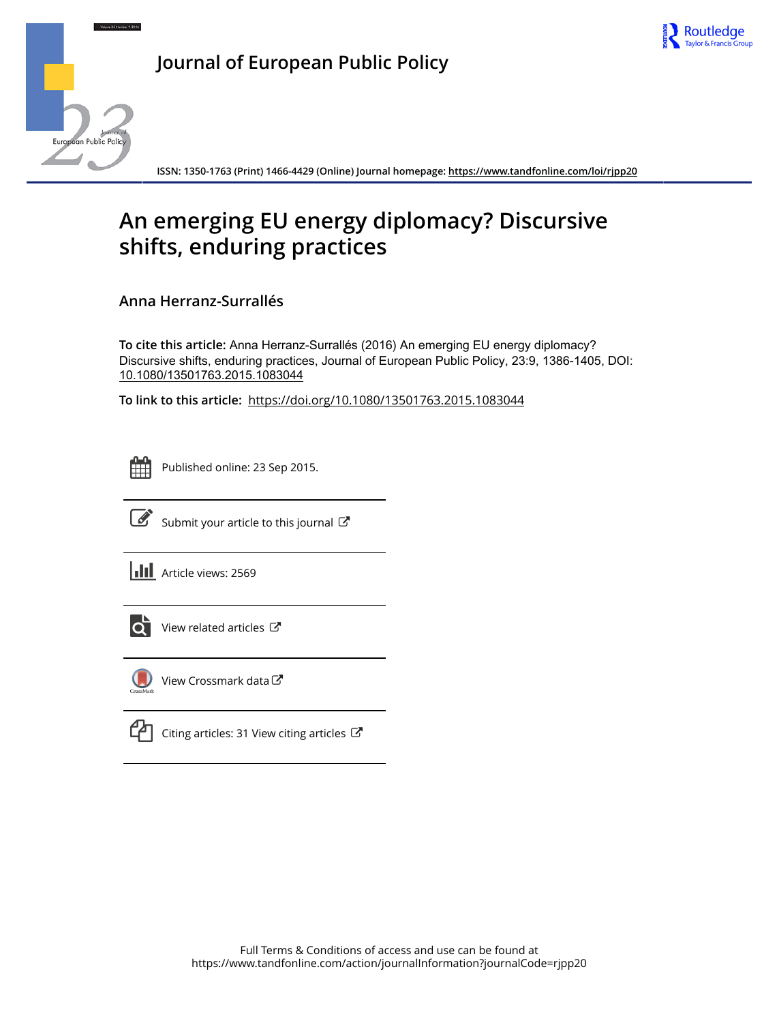

# **Journal of European Public Policy**



**ISSN: 1350-1763 (Print) 1466-4429 (Online) Journal homepage:<https://www.tandfonline.com/loi/rjpp20>**

# **An emerging EU energy diplomacy? Discursive shifts, enduring practices**

# **Anna Herranz-Surrallés**

**To cite this article:** Anna Herranz-Surrallés (2016) An emerging EU energy diplomacy? Discursive shifts, enduring practices, Journal of European Public Policy, 23:9, 1386-1405, DOI: [10.1080/13501763.2015.1083044](https://www.tandfonline.com/action/showCitFormats?doi=10.1080/13501763.2015.1083044)

**To link to this article:** <https://doi.org/10.1080/13501763.2015.1083044>



Published online: 23 Sep 2015.



 $\overrightarrow{S}$  [Submit your article to this journal](https://www.tandfonline.com/action/authorSubmission?journalCode=rjpp20&show=instructions)  $\overrightarrow{S}$ 

**III** Article views: 2569



[View related articles](https://www.tandfonline.com/doi/mlt/10.1080/13501763.2015.1083044)  $\mathbb{Z}$ 



[View Crossmark data](http://crossmark.crossref.org/dialog/?doi=10.1080/13501763.2015.1083044&domain=pdf&date_stamp=2015-09-23) $\mathbb{Z}$ 

[Citing articles: 31 View citing articles](https://www.tandfonline.com/doi/citedby/10.1080/13501763.2015.1083044#tabModule)  $\mathbb{Z}$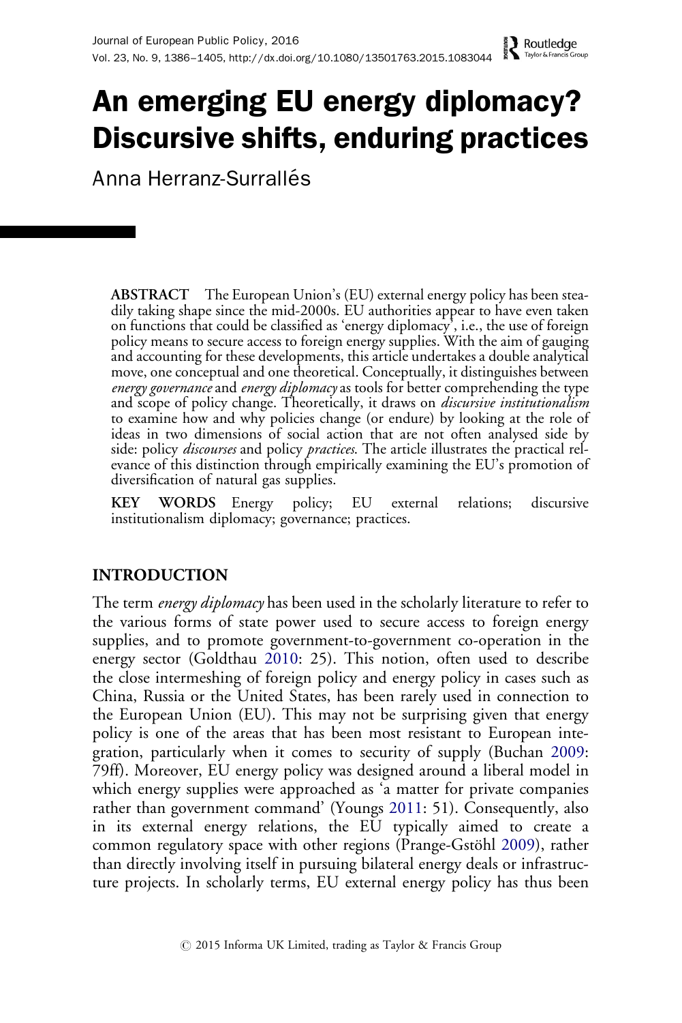# An emerging EU energy diplomacy? Discursive shifts, enduring practices

Anna Herranz-Surrallés

ABSTRACT The European Union's (EU) external energy policy has been steadily taking shape since the mid-2000s. EU authorities appear to have even taken on functions that could be classified as 'energy diplomacy', i.e., the use of foreign policy means to secure access to foreign energy supplies. With the aim of gauging and accounting for these developments, this article undertakes a double analytical move, one conceptual and one theoretical. Conceptually, it distinguishes between *energy governance* and *energy diplomacy* as tools for better comprehending the type and scope of policy change. Theoretically, it draws on *discursive institutionalism* to examine how and why policies change (or endure) by looking at the role of ideas in two dimensions of social action that are not often analysed side by side: policy *discourses* and policy *practices*. The article illustrates the practical relevance of this distinction through empirically examining the EU's promotion of diversification of natural gas supplies.

KEY WORDS Energy policy; EU external relations; discursive institutionalism diplomacy; governance; practices.

## INTRODUCTION

The term *energy diplomacy* has been used in the scholarly literature to refer to the various forms of state power used to secure access to foreign energy supplies, and to promote government-to-government co-operation in the energy sector (Goldthau [2010:](#page-20-0) 25). This notion, often used to describe the close intermeshing of foreign policy and energy policy in cases such as China, Russia or the United States, has been rarely used in connection to the European Union (EU). This may not be surprising given that energy policy is one of the areas that has been most resistant to European integration, particularly when it comes to security of supply (Buchan [2009](#page-19-0): 79ff). Moreover, EU energy policy was designed around a liberal model in which energy supplies were approached as 'a matter for private companies rather than government command' (Youngs [2011](#page-21-0): 51). Consequently, also in its external energy relations, the EU typically aimed to create a common regulatory space with other regions (Prange-Gstöhl [2009](#page-21-0)), rather than directly involving itself in pursuing bilateral energy deals or infrastructure projects. In scholarly terms, EU external energy policy has thus been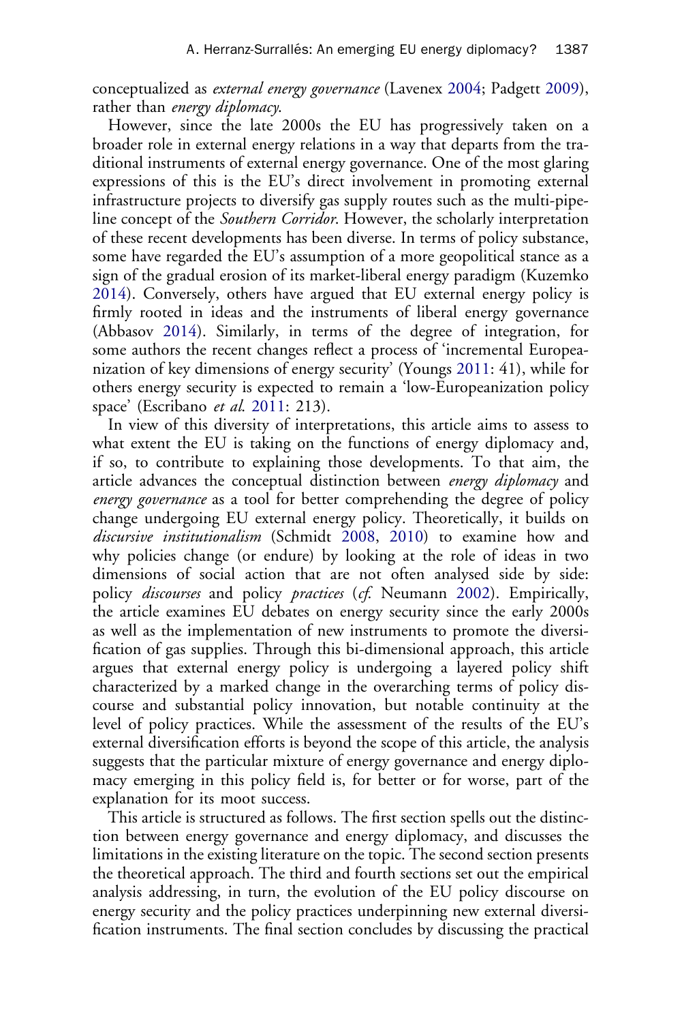conceptualized as external energy governance (Lavenex [2004](#page-20-0); Padgett [2009\)](#page-21-0), rather than *energy diplomacy*.

However, since the late 2000s the EU has progressively taken on a broader role in external energy relations in a way that departs from the traditional instruments of external energy governance. One of the most glaring expressions of this is the EU's direct involvement in promoting external infrastructure projects to diversify gas supply routes such as the multi-pipeline concept of the *Southern Corridor*. However, the scholarly interpretation of these recent developments has been diverse. In terms of policy substance, some have regarded the EU's assumption of a more geopolitical stance as a sign of the gradual erosion of its market-liberal energy paradigm (Kuzemko [2014](#page-20-0)). Conversely, others have argued that EU external energy policy is firmly rooted in ideas and the instruments of liberal energy governance (Abbasov [2014\)](#page-18-0). Similarly, in terms of the degree of integration, for some authors the recent changes reflect a process of 'incremental Europeanization of key dimensions of energy security' (Youngs [2011](#page-21-0): 41), while for others energy security is expected to remain a 'low-Europeanization policy space' (Escribano et al. [2011](#page-19-0): 213).

In view of this diversity of interpretations, this article aims to assess to what extent the EU is taking on the functions of energy diplomacy and, if so, to contribute to explaining those developments. To that aim, the article advances the conceptual distinction between *energy diplomacy* and energy governance as a tool for better comprehending the degree of policy change undergoing EU external energy policy. Theoretically, it builds on discursive institutionalism (Schmidt [2008,](#page-21-0) [2010\)](#page-21-0) to examine how and why policies change (or endure) by looking at the role of ideas in two dimensions of social action that are not often analysed side by side: policy discourses and policy practices (cf. Neumann [2002](#page-21-0)). Empirically, the article examines EU debates on energy security since the early 2000s as well as the implementation of new instruments to promote the diversification of gas supplies. Through this bi-dimensional approach, this article argues that external energy policy is undergoing a layered policy shift characterized by a marked change in the overarching terms of policy discourse and substantial policy innovation, but notable continuity at the level of policy practices. While the assessment of the results of the EU's external diversification efforts is beyond the scope of this article, the analysis suggests that the particular mixture of energy governance and energy diplomacy emerging in this policy field is, for better or for worse, part of the explanation for its moot success.

This article is structured as follows. The first section spells out the distinction between energy governance and energy diplomacy, and discusses the limitations in the existing literature on the topic. The second section presents the theoretical approach. The third and fourth sections set out the empirical analysis addressing, in turn, the evolution of the EU policy discourse on energy security and the policy practices underpinning new external diversification instruments. The final section concludes by discussing the practical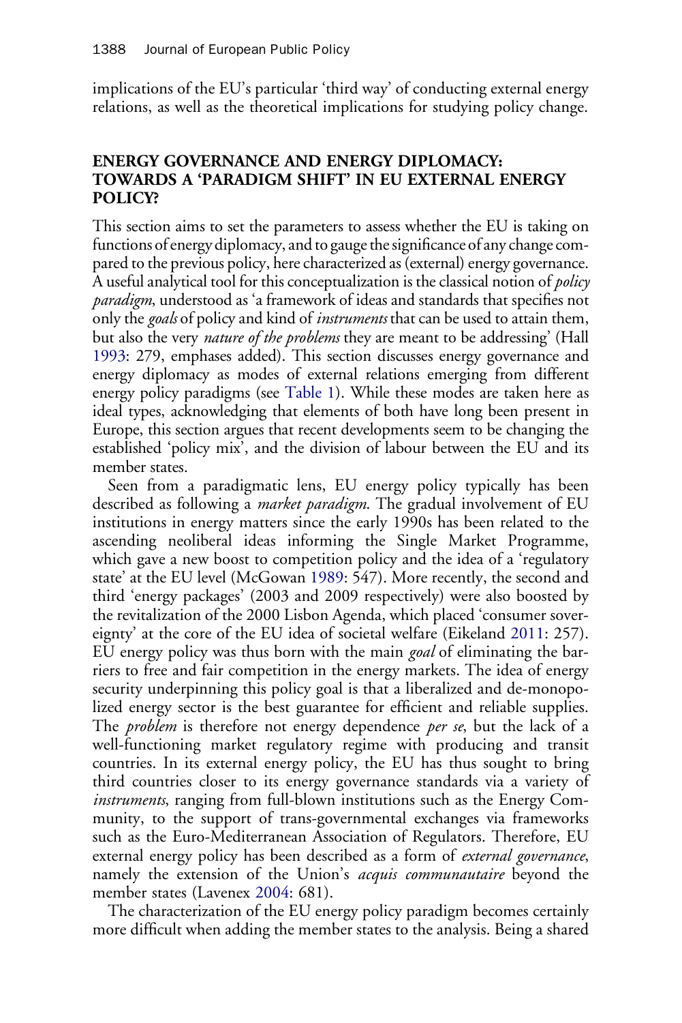implications of the EU's particular 'third way' of conducting external energy relations, as well as the theoretical implications for studying policy change.

### ENERGY GOVERNANCE AND ENERGY DIPLOMACY: TOWARDS A 'PARADIGM SHIFT' IN EU EXTERNAL ENERGY POLICY?

This section aims to set the parameters to assess whether the EU is taking on functions of energy diplomacy, and to gauge the significance of any change compared to the previous policy, here characterized as (external) energy governance. A useful analytical tool for this conceptualization is the classical notion of policy paradigm, understood as 'a framework of ideas and standards that specifies not only the *goals* of policy and kind of *instruments* that can be used to attain them, but also the very *nature of the problems* they are meant to be addressing' (Hall [1993:](#page-20-0) 279, emphases added). This section discusses energy governance and energy diplomacy as modes of external relations emerging from different energy policy paradigms (see [Table 1\)](#page-5-0). While these modes are taken here as ideal types, acknowledging that elements of both have long been present in Europe, this section argues that recent developments seem to be changing the established 'policy mix', and the division of labour between the EU and its member states.

Seen from a paradigmatic lens, EU energy policy typically has been described as following a *market paradigm*. The gradual involvement of EU institutions in energy matters since the early 1990s has been related to the ascending neoliberal ideas informing the Single Market Programme, which gave a new boost to competition policy and the idea of a 'regulatory state' at the EU level (McGowan [1989](#page-20-0): 547). More recently, the second and third 'energy packages' (2003 and 2009 respectively) were also boosted by the revitalization of the 2000 Lisbon Agenda, which placed 'consumer sovereignty' at the core of the EU idea of societal welfare (Eikeland [2011](#page-19-0): 257). EU energy policy was thus born with the main *goal* of eliminating the barriers to free and fair competition in the energy markets. The idea of energy security underpinning this policy goal is that a liberalized and de-monopolized energy sector is the best guarantee for efficient and reliable supplies. The *problem* is therefore not energy dependence *per se*, but the lack of a well-functioning market regulatory regime with producing and transit countries. In its external energy policy, the EU has thus sought to bring third countries closer to its energy governance standards via a variety of *instruments*, ranging from full-blown institutions such as the Energy Community, to the support of trans-governmental exchanges via frameworks such as the Euro-Mediterranean Association of Regulators. Therefore, EU external energy policy has been described as a form of *external governance*, namely the extension of the Union's *acquis communautaire* beyond the member states (Lavenex [2004:](#page-20-0) 681).

The characterization of the EU energy policy paradigm becomes certainly more difficult when adding the member states to the analysis. Being a shared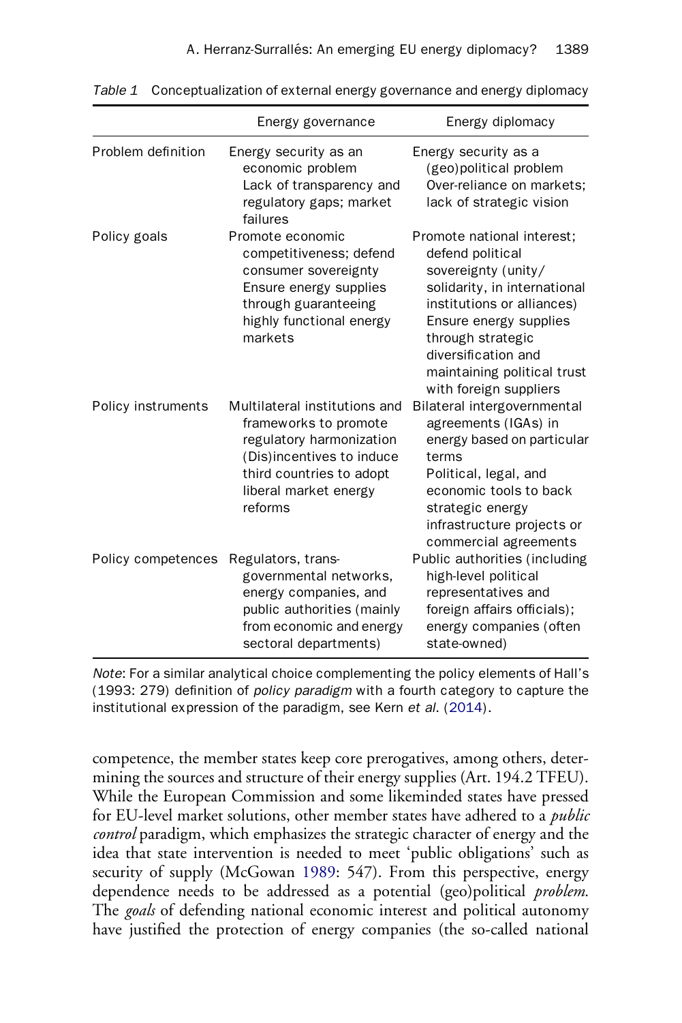|                    | Energy governance                                                                                                                                                               | Energy diplomacy                                                                                                                                                                                                                                                   |
|--------------------|---------------------------------------------------------------------------------------------------------------------------------------------------------------------------------|--------------------------------------------------------------------------------------------------------------------------------------------------------------------------------------------------------------------------------------------------------------------|
| Problem definition | Energy security as an<br>economic problem<br>Lack of transparency and<br>regulatory gaps; market<br>failures                                                                    | Energy security as a<br>(geo)political problem<br>Over-reliance on markets;<br>lack of strategic vision                                                                                                                                                            |
| Policy goals       | Promote economic<br>competitiveness; defend<br>consumer sovereignty<br>Ensure energy supplies<br>through guaranteeing<br>highly functional energy<br>markets                    | Promote national interest;<br>defend political<br>sovereignty (unity/<br>solidarity, in international<br>institutions or alliances)<br>Ensure energy supplies<br>through strategic<br>diversification and<br>maintaining political trust<br>with foreign suppliers |
| Policy instruments | Multilateral institutions and<br>frameworks to promote<br>regulatory harmonization<br>(Dis)incentives to induce<br>third countries to adopt<br>liberal market energy<br>reforms | Bilateral intergovernmental<br>agreements (IGAs) in<br>energy based on particular<br>terms<br>Political, legal, and<br>economic tools to back<br>strategic energy<br>infrastructure projects or<br>commercial agreements                                           |
| Policy competences | Regulators, trans-<br>governmental networks,<br>energy companies, and<br>public authorities (mainly<br>from economic and energy<br>sectoral departments)                        | Public authorities (including<br>high-level political<br>representatives and<br>foreign affairs officials);<br>energy companies (often<br>state-owned)                                                                                                             |

<span id="page-5-0"></span>Table 1 Conceptualization of external energy governance and energy diplomacy

Note: For a similar analytical choice complementing the policy elements of Hall's (1993: 279) definition of policy paradigm with a fourth category to capture the institutional expression of the paradigm, see Kern et al. [\(2014](#page-20-0)).

competence, the member states keep core prerogatives, among others, determining the sources and structure of their energy supplies (Art. 194.2 TFEU). While the European Commission and some likeminded states have pressed for EU-level market solutions, other member states have adhered to a *public* control paradigm, which emphasizes the strategic character of energy and the idea that state intervention is needed to meet 'public obligations' such as security of supply (McGowan [1989:](#page-20-0) 547). From this perspective, energy dependence needs to be addressed as a potential (geo)political problem. The goals of defending national economic interest and political autonomy have justified the protection of energy companies (the so-called national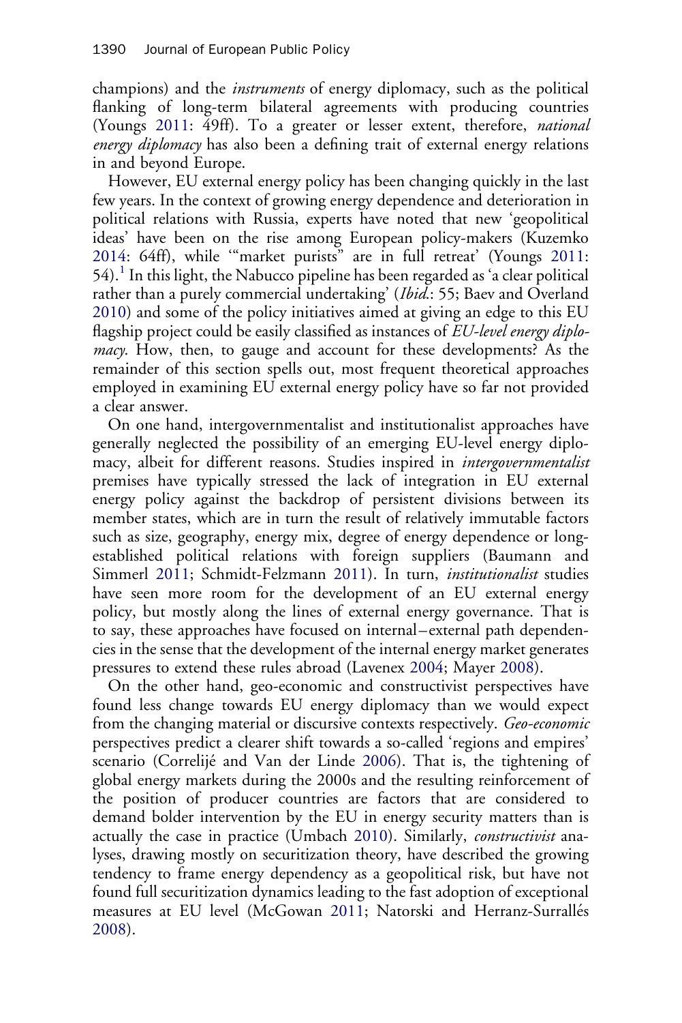champions) and the instruments of energy diplomacy, such as the political flanking of long-term bilateral agreements with producing countries (Youngs [2011:](#page-21-0) 49ff). To a greater or lesser extent, therefore, *national* energy diplomacy has also been a defining trait of external energy relations in and beyond Europe.

However, EU external energy policy has been changing quickly in the last few years. In the context of growing energy dependence and deterioration in political relations with Russia, experts have noted that new 'geopolitical ideas' have been on the rise among European policy-makers (Kuzemko [2014:](#page-20-0) 64ff), while '"market purists" are in full retreat' (Youngs [2011](#page-21-0): 54).<sup>[1](#page-18-0)</sup> In this light, the Nabucco pipeline has been regarded as 'a clear political rather than a purely commercial undertaking' (Ibid.: 55; Baev and Overland [2010\)](#page-18-0) and some of the policy initiatives aimed at giving an edge to this EU flagship project could be easily classified as instances of *EU-level energy diplomacy*. How, then, to gauge and account for these developments? As the remainder of this section spells out, most frequent theoretical approaches employed in examining EU external energy policy have so far not provided a clear answer.

On one hand, intergovernmentalist and institutionalist approaches have generally neglected the possibility of an emerging EU-level energy diplomacy, albeit for different reasons. Studies inspired in intergovernmentalist premises have typically stressed the lack of integration in EU external energy policy against the backdrop of persistent divisions between its member states, which are in turn the result of relatively immutable factors such as size, geography, energy mix, degree of energy dependence or longestablished political relations with foreign suppliers (Baumann and Simmerl [2011](#page-19-0); Schmidt-Felzmann [2011\)](#page-21-0). In turn, institutionalist studies have seen more room for the development of an EU external energy policy, but mostly along the lines of external energy governance. That is to say, these approaches have focused on internal–external path dependencies in the sense that the development of the internal energy market generates pressures to extend these rules abroad (Lavenex [2004;](#page-20-0) Mayer [2008\)](#page-20-0).

On the other hand, geo-economic and constructivist perspectives have found less change towards EU energy diplomacy than we would expect from the changing material or discursive contexts respectively. Geo-economic perspectives predict a clearer shift towards a so-called 'regions and empires' scenario (Correlijé and Van der Linde [2006](#page-19-0)). That is, the tightening of global energy markets during the 2000s and the resulting reinforcement of the position of producer countries are factors that are considered to demand bolder intervention by the EU in energy security matters than is actually the case in practice (Umbach [2010\)](#page-21-0). Similarly, *constructivist* analyses, drawing mostly on securitization theory, have described the growing tendency to frame energy dependency as a geopolitical risk, but have not found full securitization dynamics leading to the fast adoption of exceptional measures at EU level (McGowan [2011](#page-20-0); Natorski and Herranz-Surrallés [2008\)](#page-20-0).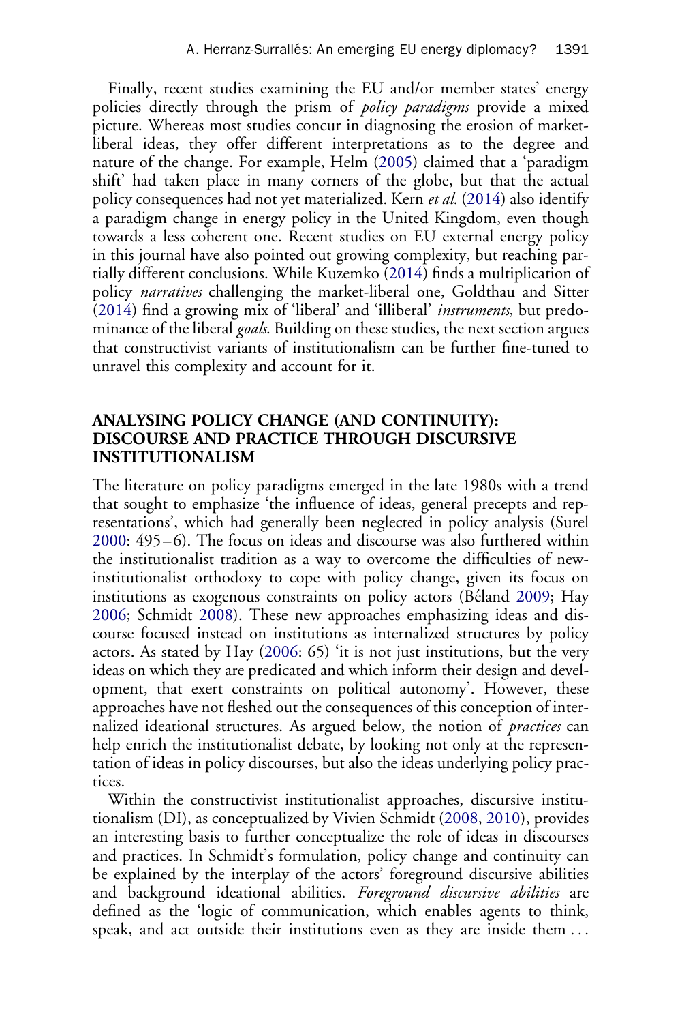Finally, recent studies examining the EU and/or member states' energy policies directly through the prism of *policy paradigms* provide a mixed picture. Whereas most studies concur in diagnosing the erosion of marketliberal ideas, they offer different interpretations as to the degree and nature of the change. For example, Helm ([2005\)](#page-20-0) claimed that a 'paradigm shift' had taken place in many corners of the globe, but that the actual policy consequences had not yet materialized. Kern et al. ([2014\)](#page-20-0) also identify a paradigm change in energy policy in the United Kingdom, even though towards a less coherent one. Recent studies on EU external energy policy in this journal have also pointed out growing complexity, but reaching partially different conclusions. While Kuzemko [\(2014](#page-20-0)) finds a multiplication of policy *narratives* challenging the market-liberal one, Goldthau and Sitter ([2014\)](#page-20-0) find a growing mix of 'liberal' and 'illiberal' *instruments*, but predominance of the liberal goals. Building on these studies, the next section argues that constructivist variants of institutionalism can be further fine-tuned to unravel this complexity and account for it.

#### ANALYSING POLICY CHANGE (AND CONTINUITY): DISCOURSE AND PRACTICE THROUGH DISCURSIVE INSTITUTIONALISM

The literature on policy paradigms emerged in the late 1980s with a trend that sought to emphasize 'the influence of ideas, general precepts and representations', which had generally been neglected in policy analysis (Surel [2000](#page-21-0): 495–6). The focus on ideas and discourse was also furthered within the institutionalist tradition as a way to overcome the difficulties of newinstitutionalist orthodoxy to cope with policy change, given its focus on institutions as exogenous constraints on policy actors (Béland [2009](#page-19-0); Hay [2006](#page-20-0); Schmidt [2008](#page-21-0)). These new approaches emphasizing ideas and discourse focused instead on institutions as internalized structures by policy actors. As stated by Hay [\(2006](#page-20-0): 65) 'it is not just institutions, but the very ideas on which they are predicated and which inform their design and development, that exert constraints on political autonomy'. However, these approaches have not fleshed out the consequences of this conception of internalized ideational structures. As argued below, the notion of *practices* can help enrich the institutionalist debate, by looking not only at the representation of ideas in policy discourses, but also the ideas underlying policy practices.

Within the constructivist institutionalist approaches, discursive institutionalism (DI), as conceptualized by Vivien Schmidt [\(2008](#page-21-0), [2010\)](#page-21-0), provides an interesting basis to further conceptualize the role of ideas in discourses and practices. In Schmidt's formulation, policy change and continuity can be explained by the interplay of the actors' foreground discursive abilities and background ideational abilities. Foreground discursive abilities are defined as the 'logic of communication, which enables agents to think, speak, and act outside their institutions even as they are inside them ...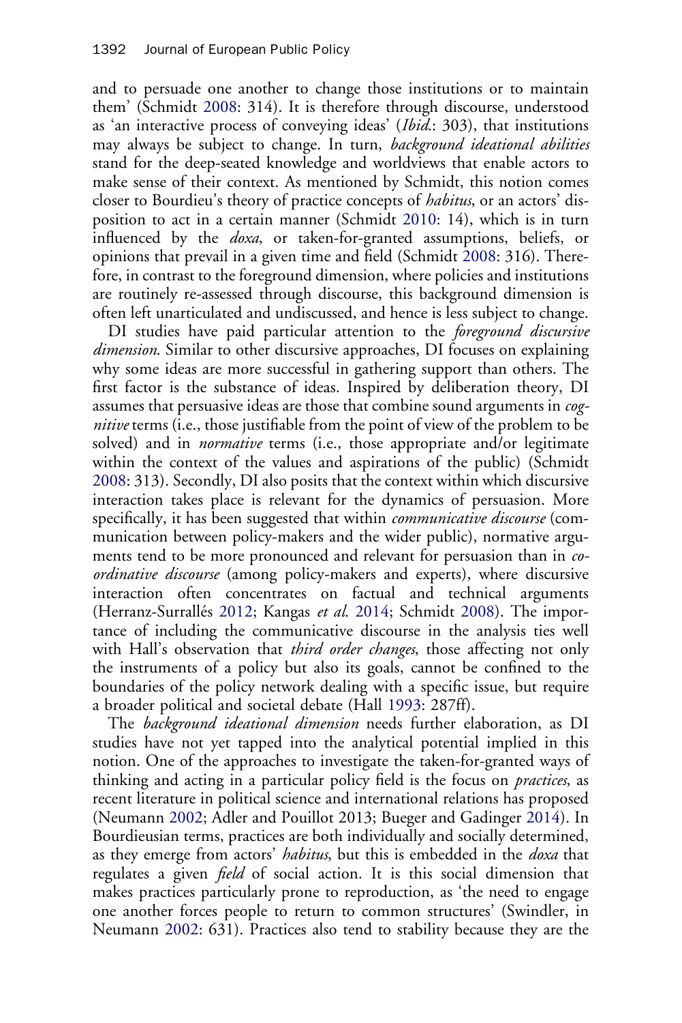and to persuade one another to change those institutions or to maintain them' (Schmidt [2008:](#page-21-0) 314). It is therefore through discourse, understood as 'an interactive process of conveying ideas' (*Ibid.*: 303), that institutions may always be subject to change. In turn, background ideational abilities stand for the deep-seated knowledge and worldviews that enable actors to make sense of their context. As mentioned by Schmidt, this notion comes closer to Bourdieu's theory of practice concepts of habitus, or an actors' disposition to act in a certain manner (Schmidt [2010](#page-21-0): 14), which is in turn influenced by the *doxa*, or taken-for-granted assumptions, beliefs, or opinions that prevail in a given time and field (Schmidt [2008](#page-21-0): 316). Therefore, in contrast to the foreground dimension, where policies and institutions are routinely re-assessed through discourse, this background dimension is often left unarticulated and undiscussed, and hence is less subject to change.

DI studies have paid particular attention to the foreground discursive dimension. Similar to other discursive approaches, DI focuses on explaining why some ideas are more successful in gathering support than others. The first factor is the substance of ideas. Inspired by deliberation theory, DI assumes that persuasive ideas are those that combine sound arguments in *cog*nitive terms (i.e., those justifiable from the point of view of the problem to be solved) and in *normative* terms (i.e., those appropriate and/or legitimate within the context of the values and aspirations of the public) (Schmidt [2008:](#page-21-0) 313). Secondly, DI also posits that the context within which discursive interaction takes place is relevant for the dynamics of persuasion. More specifically, it has been suggested that within *communicative discourse* (communication between policy-makers and the wider public), normative arguments tend to be more pronounced and relevant for persuasion than in *co*ordinative discourse (among policy-makers and experts), where discursive interaction often concentrates on factual and technical arguments (Herranz-Surrallés [2012](#page-20-0); Kangas et al. [2014;](#page-20-0) Schmidt [2008\)](#page-21-0). The importance of including the communicative discourse in the analysis ties well with Hall's observation that *third order changes*, those affecting not only the instruments of a policy but also its goals, cannot be confined to the boundaries of the policy network dealing with a specific issue, but require a broader political and societal debate (Hall [1993](#page-20-0): 287ff).

The background ideational dimension needs further elaboration, as DI studies have not yet tapped into the analytical potential implied in this notion. One of the approaches to investigate the taken-for-granted ways of thinking and acting in a particular policy field is the focus on *practices*, as recent literature in political science and international relations has proposed (Neumann [2002;](#page-21-0) Adler and Pouillot 2013; Bueger and Gadinger [2014\)](#page-19-0). In Bourdieusian terms, practices are both individually and socially determined, as they emerge from actors' *habitus*, but this is embedded in the *doxa* that regulates a given *field* of social action. It is this social dimension that makes practices particularly prone to reproduction, as 'the need to engage one another forces people to return to common structures' (Swindler, in Neumann [2002:](#page-21-0) 631). Practices also tend to stability because they are the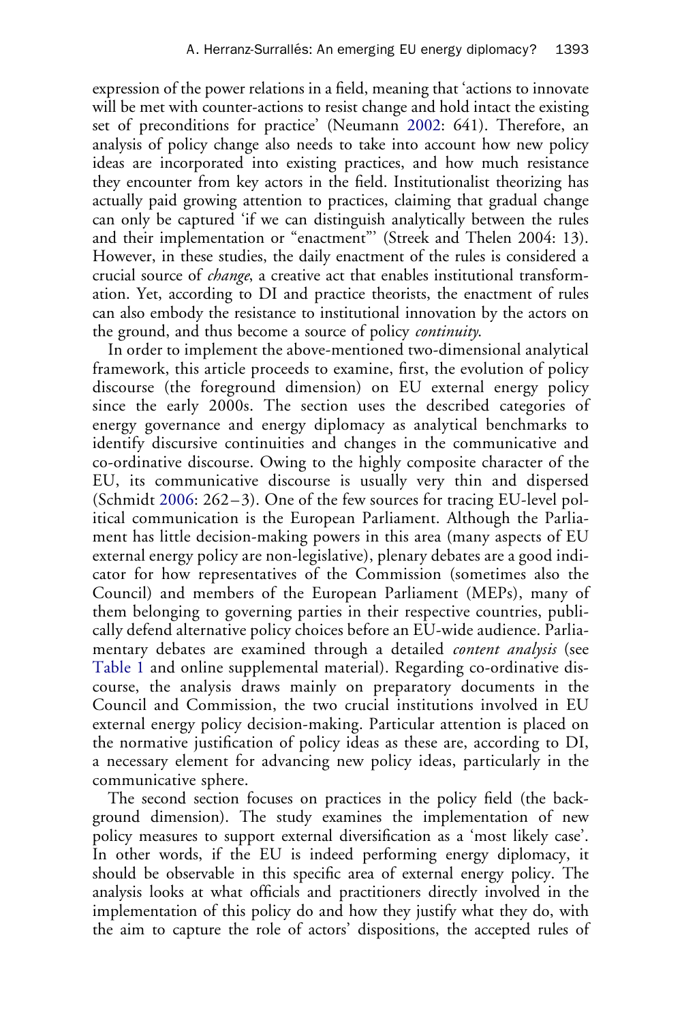expression of the power relations in a field, meaning that 'actions to innovate will be met with counter-actions to resist change and hold intact the existing set of preconditions for practice' (Neumann [2002](#page-21-0): 641). Therefore, an analysis of policy change also needs to take into account how new policy ideas are incorporated into existing practices, and how much resistance they encounter from key actors in the field. Institutionalist theorizing has actually paid growing attention to practices, claiming that gradual change can only be captured 'if we can distinguish analytically between the rules and their implementation or "enactment"' (Streek and Thelen 2004: 13). However, in these studies, the daily enactment of the rules is considered a crucial source of *change*, a creative act that enables institutional transformation. Yet, according to DI and practice theorists, the enactment of rules can also embody the resistance to institutional innovation by the actors on the ground, and thus become a source of policy continuity.

In order to implement the above-mentioned two-dimensional analytical framework, this article proceeds to examine, first, the evolution of policy discourse (the foreground dimension) on EU external energy policy since the early 2000s. The section uses the described categories of energy governance and energy diplomacy as analytical benchmarks to identify discursive continuities and changes in the communicative and co-ordinative discourse. Owing to the highly composite character of the EU, its communicative discourse is usually very thin and dispersed (Schmidt [2006](#page-21-0): 262–3). One of the few sources for tracing EU-level political communication is the European Parliament. Although the Parliament has little decision-making powers in this area (many aspects of EU external energy policy are non-legislative), plenary debates are a good indicator for how representatives of the Commission (sometimes also the Council) and members of the European Parliament (MEPs), many of them belonging to governing parties in their respective countries, publically defend alternative policy choices before an EU-wide audience. Parliamentary debates are examined through a detailed *content analysis* (see [Table 1](#page-5-0) and online supplemental material). Regarding co-ordinative discourse, the analysis draws mainly on preparatory documents in the Council and Commission, the two crucial institutions involved in EU external energy policy decision-making. Particular attention is placed on the normative justification of policy ideas as these are, according to DI, a necessary element for advancing new policy ideas, particularly in the communicative sphere.

The second section focuses on practices in the policy field (the background dimension). The study examines the implementation of new policy measures to support external diversification as a 'most likely case'. In other words, if the EU is indeed performing energy diplomacy, it should be observable in this specific area of external energy policy. The analysis looks at what officials and practitioners directly involved in the implementation of this policy do and how they justify what they do, with the aim to capture the role of actors' dispositions, the accepted rules of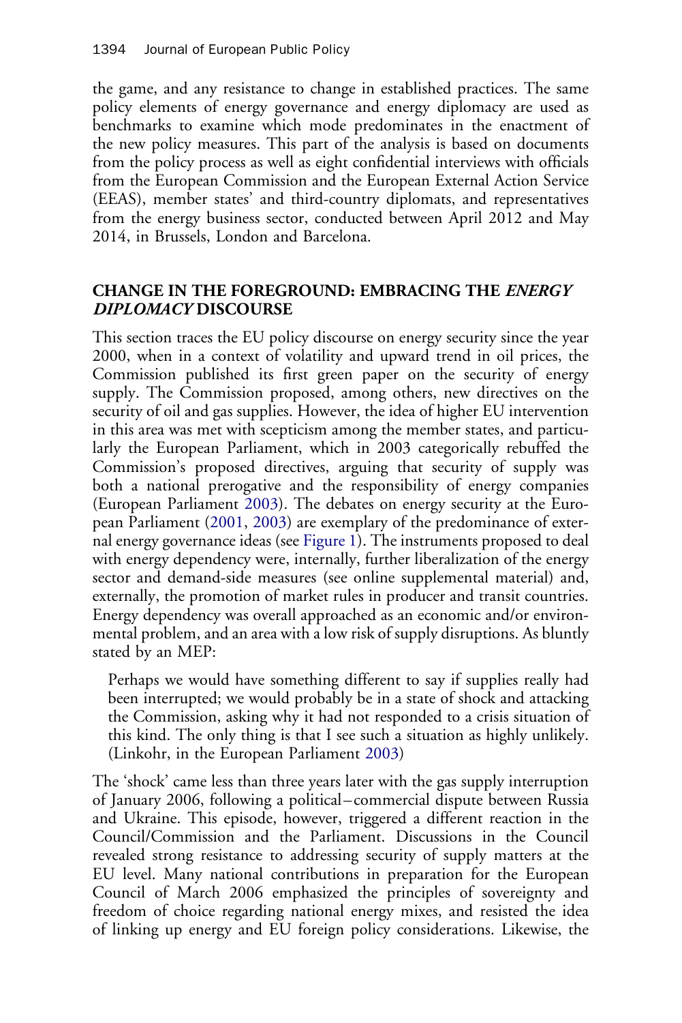the game, and any resistance to change in established practices. The same policy elements of energy governance and energy diplomacy are used as benchmarks to examine which mode predominates in the enactment of the new policy measures. This part of the analysis is based on documents from the policy process as well as eight confidential interviews with officials from the European Commission and the European External Action Service (EEAS), member states' and third-country diplomats, and representatives from the energy business sector, conducted between April 2012 and May 2014, in Brussels, London and Barcelona.

### CHANGE IN THE FOREGROUND: EMBRACING THE ENERGY DIPLOMACY DISCOURSE

This section traces the EU policy discourse on energy security since the year 2000, when in a context of volatility and upward trend in oil prices, the Commission published its first green paper on the security of energy supply. The Commission proposed, among others, new directives on the security of oil and gas supplies. However, the idea of higher EU intervention in this area was met with scepticism among the member states, and particularly the European Parliament, which in 2003 categorically rebuffed the Commission's proposed directives, arguing that security of supply was both a national prerogative and the responsibility of energy companies (European Parliament [2003\)](#page-20-0). The debates on energy security at the European Parliament [\(2001](#page-20-0), [2003](#page-20-0)) are exemplary of the predominance of external energy governance ideas (see [Figure 1\)](#page-11-0). The instruments proposed to deal with energy dependency were, internally, further liberalization of the energy sector and demand-side measures (see online supplemental material) and, externally, the promotion of market rules in producer and transit countries. Energy dependency was overall approached as an economic and/or environmental problem, and an area with a low risk of supply disruptions. As bluntly stated by an MEP:

Perhaps we would have something different to say if supplies really had been interrupted; we would probably be in a state of shock and attacking the Commission, asking why it had not responded to a crisis situation of this kind. The only thing is that I see such a situation as highly unlikely. (Linkohr, in the European Parliament [2003\)](#page-20-0)

The 'shock' came less than three years later with the gas supply interruption of January 2006, following a political–commercial dispute between Russia and Ukraine. This episode, however, triggered a different reaction in the Council/Commission and the Parliament. Discussions in the Council revealed strong resistance to addressing security of supply matters at the EU level. Many national contributions in preparation for the European Council of March 2006 emphasized the principles of sovereignty and freedom of choice regarding national energy mixes, and resisted the idea of linking up energy and EU foreign policy considerations. Likewise, the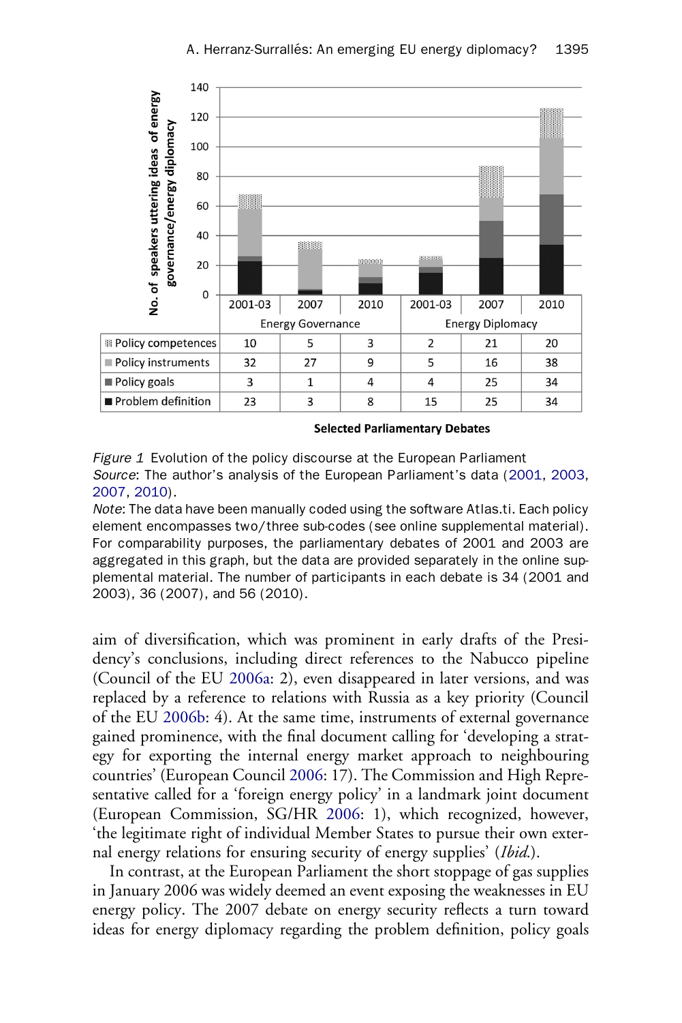<span id="page-11-0"></span>

**Selected Parliamentary Debates** 

Figure 1 Evolution of the policy discourse at the European Parliament Source: The author's analysis of the European Parliament's data [\(2001,](#page-20-0) [2003](#page-20-0), [2007,](#page-20-0) [2010\)](#page-20-0).

Note: The data have been manually coded using the software Atlas.ti. Each policy element encompasses two/three sub-codes (see online supplemental material). For comparability purposes, the parliamentary debates of 2001 and 2003 are aggregated in this graph, but the data are provided separately in the online supplemental material. The number of participants in each debate is 34 (2001 and 2003), 36 (2007), and 56 (2010).

aim of diversification, which was prominent in early drafts of the Presidency's conclusions, including direct references to the Nabucco pipeline (Council of the EU [2006a](#page-19-0): 2), even disappeared in later versions, and was replaced by a reference to relations with Russia as a key priority (Council of the EU [2006b](#page-19-0): 4). At the same time, instruments of external governance gained prominence, with the final document calling for 'developing a strategy for exporting the internal energy market approach to neighbouring countries' (European Council [2006:](#page-19-0) 17). The Commission and High Representative called for a 'foreign energy policy' in a landmark joint document (European Commission, SG/HR [2006:](#page-19-0) 1), which recognized, however, 'the legitimate right of individual Member States to pursue their own external energy relations for ensuring security of energy supplies' (Ibid.).

In contrast, at the European Parliament the short stoppage of gas supplies in January 2006 was widely deemed an event exposing the weaknesses in EU energy policy. The 2007 debate on energy security reflects a turn toward ideas for energy diplomacy regarding the problem definition, policy goals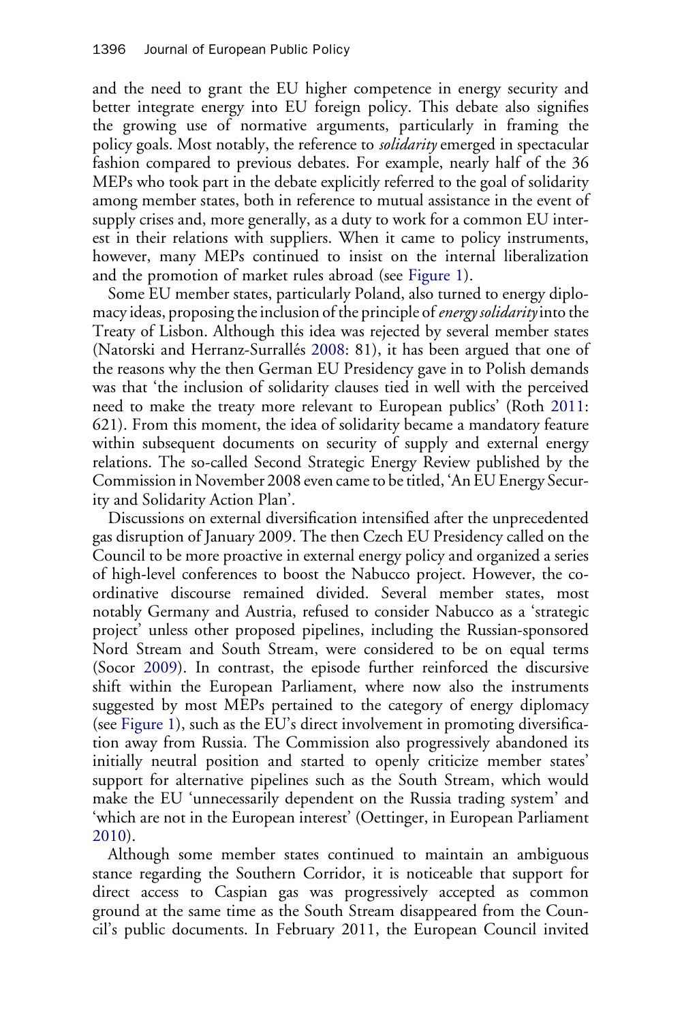and the need to grant the EU higher competence in energy security and better integrate energy into EU foreign policy. This debate also signifies the growing use of normative arguments, particularly in framing the policy goals. Most notably, the reference to *solidarity* emerged in spectacular fashion compared to previous debates. For example, nearly half of the 36 MEPs who took part in the debate explicitly referred to the goal of solidarity among member states, both in reference to mutual assistance in the event of supply crises and, more generally, as a duty to work for a common EU interest in their relations with suppliers. When it came to policy instruments, however, many MEPs continued to insist on the internal liberalization and the promotion of market rules abroad (see [Figure 1\)](#page-11-0).

Some EU member states, particularly Poland, also turned to energy diplomacy ideas, proposing the inclusion of the principle of *energy solidarity* into the Treaty of Lisbon. Although this idea was rejected by several member states (Natorski and Herranz-Surrallés [2008:](#page-20-0) 81), it has been argued that one of the reasons why the then German EU Presidency gave in to Polish demands was that 'the inclusion of solidarity clauses tied in well with the perceived need to make the treaty more relevant to European publics' (Roth [2011](#page-21-0): 621). From this moment, the idea of solidarity became a mandatory feature within subsequent documents on security of supply and external energy relations. The so-called Second Strategic Energy Review published by the Commission in November 2008 even came to be titled, 'An EU Energy Security and Solidarity Action Plan'.

Discussions on external diversification intensified after the unprecedented gas disruption of January 2009. The then Czech EU Presidency called on the Council to be more proactive in external energy policy and organized a series of high-level conferences to boost the Nabucco project. However, the coordinative discourse remained divided. Several member states, most notably Germany and Austria, refused to consider Nabucco as a 'strategic project' unless other proposed pipelines, including the Russian-sponsored Nord Stream and South Stream, were considered to be on equal terms (Socor [2009](#page-21-0)). In contrast, the episode further reinforced the discursive shift within the European Parliament, where now also the instruments suggested by most MEPs pertained to the category of energy diplomacy (see [Figure 1](#page-11-0)), such as the EU's direct involvement in promoting diversification away from Russia. The Commission also progressively abandoned its initially neutral position and started to openly criticize member states' support for alternative pipelines such as the South Stream, which would make the EU 'unnecessarily dependent on the Russia trading system' and 'which are not in the European interest' (Oettinger, in European Parliament [2010\)](#page-20-0).

Although some member states continued to maintain an ambiguous stance regarding the Southern Corridor, it is noticeable that support for direct access to Caspian gas was progressively accepted as common ground at the same time as the South Stream disappeared from the Council's public documents. In February 2011, the European Council invited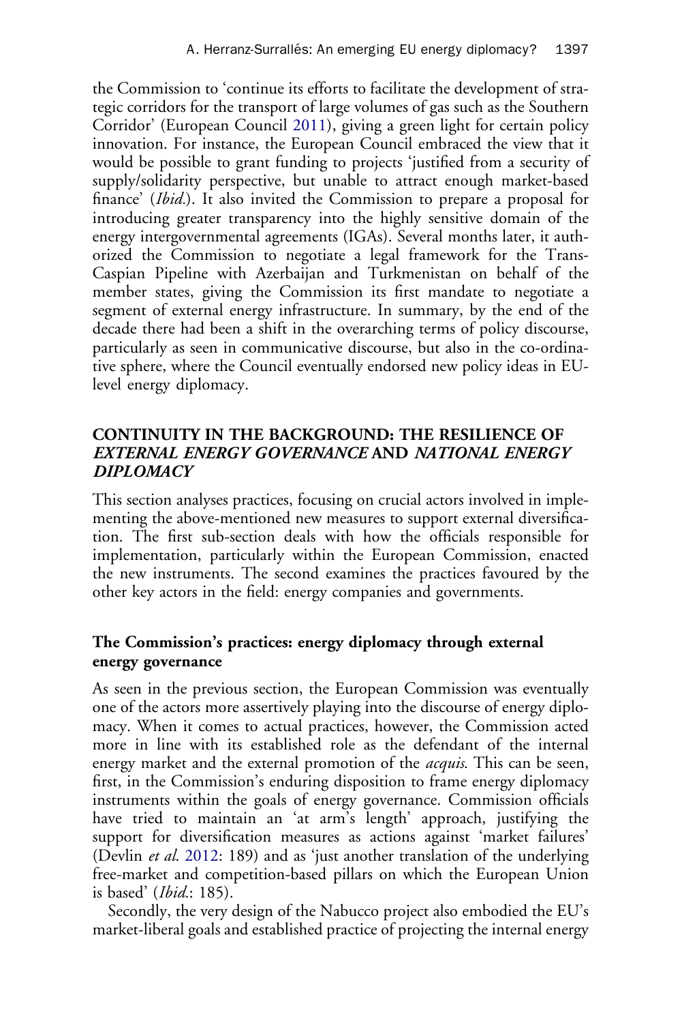the Commission to 'continue its efforts to facilitate the development of strategic corridors for the transport of large volumes of gas such as the Southern Corridor' (European Council [2011](#page-19-0)), giving a green light for certain policy innovation. For instance, the European Council embraced the view that it would be possible to grant funding to projects 'justified from a security of supply/solidarity perspective, but unable to attract enough market-based finance' (*Ibid.*). It also invited the Commission to prepare a proposal for introducing greater transparency into the highly sensitive domain of the energy intergovernmental agreements (IGAs). Several months later, it authorized the Commission to negotiate a legal framework for the Trans-Caspian Pipeline with Azerbaijan and Turkmenistan on behalf of the member states, giving the Commission its first mandate to negotiate a segment of external energy infrastructure. In summary, by the end of the decade there had been a shift in the overarching terms of policy discourse, particularly as seen in communicative discourse, but also in the co-ordinative sphere, where the Council eventually endorsed new policy ideas in EUlevel energy diplomacy.

#### CONTINUITY IN THE BACKGROUND: THE RESILIENCE OF EXTERNAL ENERGY GOVERNANCE AND NATIONAL ENERGY **DIPLOMACY**

This section analyses practices, focusing on crucial actors involved in implementing the above-mentioned new measures to support external diversification. The first sub-section deals with how the officials responsible for implementation, particularly within the European Commission, enacted the new instruments. The second examines the practices favoured by the other key actors in the field: energy companies and governments.

## The Commission's practices: energy diplomacy through external energy governance

As seen in the previous section, the European Commission was eventually one of the actors more assertively playing into the discourse of energy diplomacy. When it comes to actual practices, however, the Commission acted more in line with its established role as the defendant of the internal energy market and the external promotion of the *acquis*. This can be seen, first, in the Commission's enduring disposition to frame energy diplomacy instruments within the goals of energy governance. Commission officials have tried to maintain an 'at arm's length' approach, justifying the support for diversification measures as actions against 'market failures' (Devlin *et al.* [2012:](#page-19-0) 189) and as 'just another translation of the underlying free-market and competition-based pillars on which the European Union is based' (Ibid.: 185).

Secondly, the very design of the Nabucco project also embodied the EU's market-liberal goals and established practice of projecting the internal energy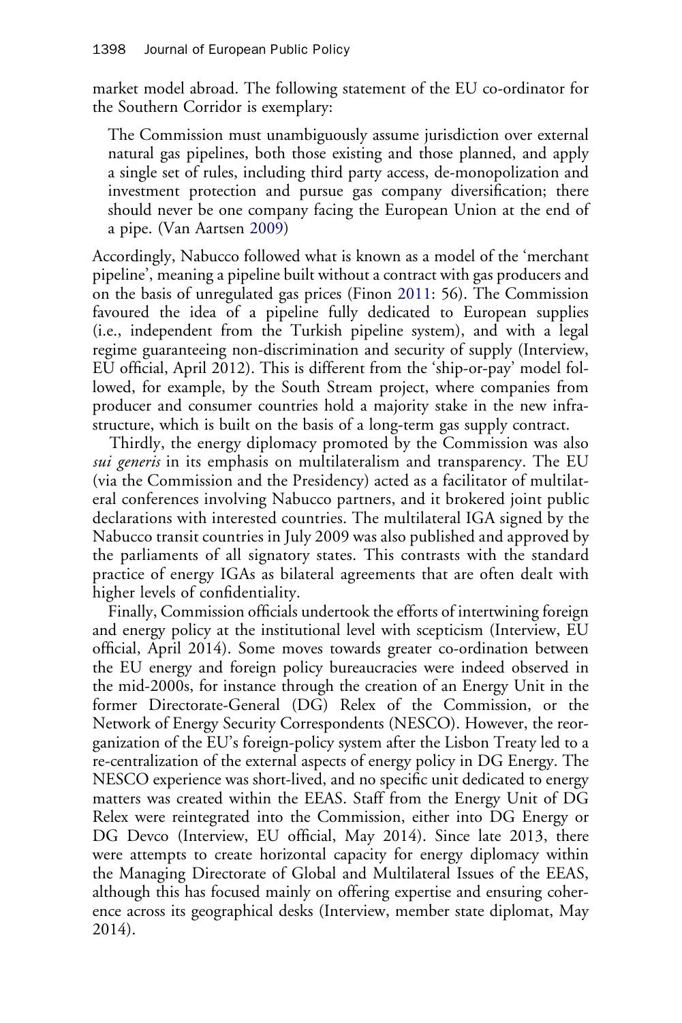market model abroad. The following statement of the EU co-ordinator for the Southern Corridor is exemplary:

The Commission must unambiguously assume jurisdiction over external natural gas pipelines, both those existing and those planned, and apply a single set of rules, including third party access, de-monopolization and investment protection and pursue gas company diversification; there should never be one company facing the European Union at the end of a pipe. (Van Aartsen [2009](#page-21-0))

Accordingly, Nabucco followed what is known as a model of the 'merchant pipeline', meaning a pipeline built without a contract with gas producers and on the basis of unregulated gas prices (Finon [2011](#page-20-0): 56). The Commission favoured the idea of a pipeline fully dedicated to European supplies (i.e., independent from the Turkish pipeline system), and with a legal regime guaranteeing non-discrimination and security of supply (Interview, EU official, April 2012). This is different from the 'ship-or-pay' model followed, for example, by the South Stream project, where companies from producer and consumer countries hold a majority stake in the new infrastructure, which is built on the basis of a long-term gas supply contract.

Thirdly, the energy diplomacy promoted by the Commission was also sui generis in its emphasis on multilateralism and transparency. The EU (via the Commission and the Presidency) acted as a facilitator of multilateral conferences involving Nabucco partners, and it brokered joint public declarations with interested countries. The multilateral IGA signed by the Nabucco transit countries in July 2009 was also published and approved by the parliaments of all signatory states. This contrasts with the standard practice of energy IGAs as bilateral agreements that are often dealt with higher levels of confidentiality.

Finally, Commission officials undertook the efforts of intertwining foreign and energy policy at the institutional level with scepticism (Interview, EU official, April 2014). Some moves towards greater co-ordination between the EU energy and foreign policy bureaucracies were indeed observed in the mid-2000s, for instance through the creation of an Energy Unit in the former Directorate-General (DG) Relex of the Commission, or the Network of Energy Security Correspondents (NESCO). However, the reorganization of the EU's foreign-policy system after the Lisbon Treaty led to a re-centralization of the external aspects of energy policy in DG Energy. The NESCO experience was short-lived, and no specific unit dedicated to energy matters was created within the EEAS. Staff from the Energy Unit of DG Relex were reintegrated into the Commission, either into DG Energy or DG Devco (Interview, EU official, May 2014). Since late 2013, there were attempts to create horizontal capacity for energy diplomacy within the Managing Directorate of Global and Multilateral Issues of the EEAS, although this has focused mainly on offering expertise and ensuring coherence across its geographical desks (Interview, member state diplomat, May 2014).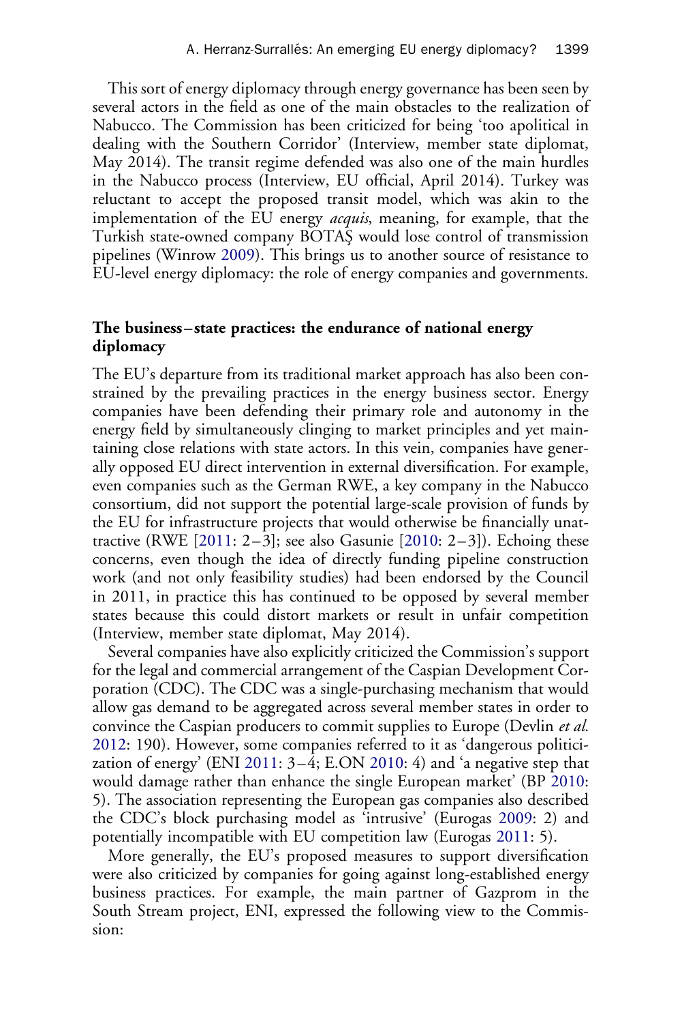This sort of energy diplomacy through energy governance has been seen by several actors in the field as one of the main obstacles to the realization of Nabucco. The Commission has been criticized for being 'too apolitical in dealing with the Southern Corridor' (Interview, member state diplomat, May 2014). The transit regime defended was also one of the main hurdles in the Nabucco process (Interview, EU official, April 2014). Turkey was reluctant to accept the proposed transit model, which was akin to the implementation of the EU energy *acquis*, meaning, for example, that the Turkish state-owned company BOTAS¸ would lose control of transmission pipelines (Winrow [2009](#page-21-0)). This brings us to another source of resistance to EU-level energy diplomacy: the role of energy companies and governments.

#### The business – state practices: the endurance of national energy diplomacy

The EU's departure from its traditional market approach has also been constrained by the prevailing practices in the energy business sector. Energy companies have been defending their primary role and autonomy in the energy field by simultaneously clinging to market principles and yet maintaining close relations with state actors. In this vein, companies have generally opposed EU direct intervention in external diversification. For example, even companies such as the German RWE, a key company in the Nabucco consortium, did not support the potential large-scale provision of funds by the EU for infrastructure projects that would otherwise be financially unat-tractive (RWE [[2011:](#page-21-0)  $2-3$ ]; see also Gasunie [\[2010](#page-20-0):  $2-3$ ]). Echoing these concerns, even though the idea of directly funding pipeline construction work (and not only feasibility studies) had been endorsed by the Council in 2011, in practice this has continued to be opposed by several member states because this could distort markets or result in unfair competition (Interview, member state diplomat, May 2014).

Several companies have also explicitly criticized the Commission's support for the legal and commercial arrangement of the Caspian Development Corporation (CDC). The CDC was a single-purchasing mechanism that would allow gas demand to be aggregated across several member states in order to convince the Caspian producers to commit supplies to Europe (Devlin et al. [2012:](#page-19-0) 190). However, some companies referred to it as 'dangerous politicization of energy' (ENI [2011:](#page-19-0) 3–4; E.ON [2010](#page-19-0): 4) and 'a negative step that would damage rather than enhance the single European market' (BP [2010](#page-19-0): 5). The association representing the European gas companies also described the CDC's block purchasing model as 'intrusive' (Eurogas [2009:](#page-19-0) 2) and potentially incompatible with EU competition law (Eurogas [2011](#page-19-0): 5).

More generally, the EU's proposed measures to support diversification were also criticized by companies for going against long-established energy business practices. For example, the main partner of Gazprom in the South Stream project, ENI, expressed the following view to the Commission: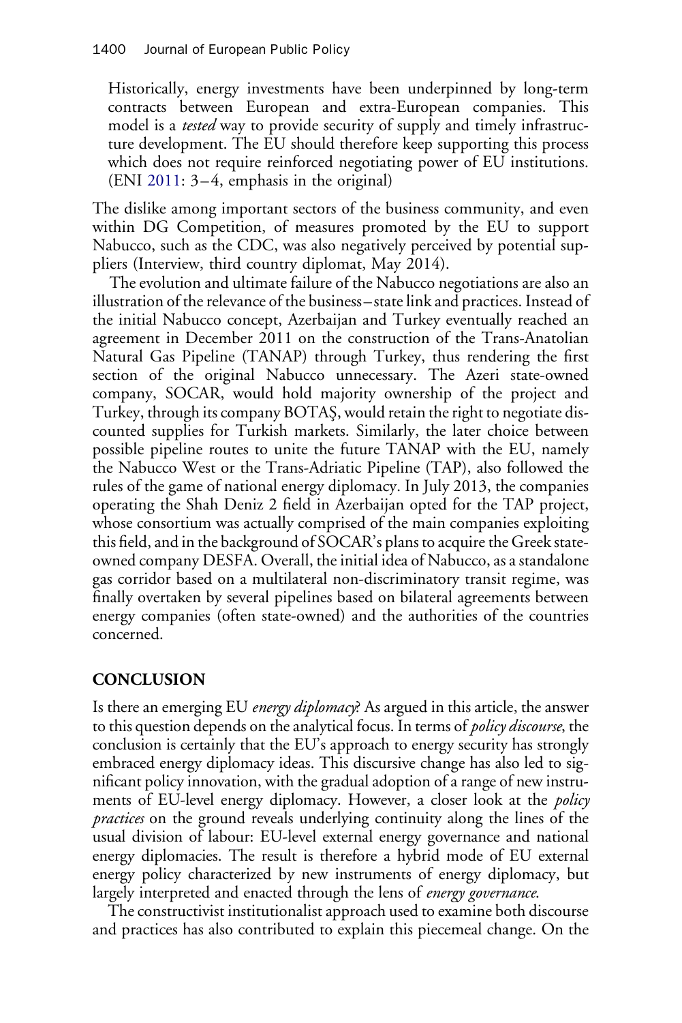Historically, energy investments have been underpinned by long-term contracts between European and extra-European companies. This model is a tested way to provide security of supply and timely infrastructure development. The EU should therefore keep supporting this process which does not require reinforced negotiating power of EU institutions. (ENI [2011:](#page-19-0) 3–4, emphasis in the original)

The dislike among important sectors of the business community, and even within DG Competition, of measures promoted by the EU to support Nabucco, such as the CDC, was also negatively perceived by potential suppliers (Interview, third country diplomat, May 2014).

The evolution and ultimate failure of the Nabucco negotiations are also an illustration of the relevance of the business–state link and practices. Instead of the initial Nabucco concept, Azerbaijan and Turkey eventually reached an agreement in December 2011 on the construction of the Trans-Anatolian Natural Gas Pipeline (TANAP) through Turkey, thus rendering the first section of the original Nabucco unnecessary. The Azeri state-owned company, SOCAR, would hold majority ownership of the project and Turkey, through its company BOTAS¸, would retain the right to negotiate discounted supplies for Turkish markets. Similarly, the later choice between possible pipeline routes to unite the future TANAP with the EU, namely the Nabucco West or the Trans-Adriatic Pipeline (TAP), also followed the rules of the game of national energy diplomacy. In July 2013, the companies operating the Shah Deniz 2 field in Azerbaijan opted for the TAP project, whose consortium was actually comprised of the main companies exploiting this field, and in the background of SOCAR's plans to acquire the Greek stateowned company DESFA. Overall, the initial idea of Nabucco, as a standalone gas corridor based on a multilateral non-discriminatory transit regime, was finally overtaken by several pipelines based on bilateral agreements between energy companies (often state-owned) and the authorities of the countries concerned.

# **CONCLUSION**

Is there an emerging EU *energy diplomacy*? As argued in this article, the answer to this question depends on the analytical focus. In terms of *policy discourse*, the conclusion is certainly that the EU's approach to energy security has strongly embraced energy diplomacy ideas. This discursive change has also led to significant policy innovation, with the gradual adoption of a range of new instruments of EU-level energy diplomacy. However, a closer look at the *policy* practices on the ground reveals underlying continuity along the lines of the usual division of labour: EU-level external energy governance and national energy diplomacies. The result is therefore a hybrid mode of EU external energy policy characterized by new instruments of energy diplomacy, but largely interpreted and enacted through the lens of *energy governance*.

The constructivist institutionalist approach used to examine both discourse and practices has also contributed to explain this piecemeal change. On the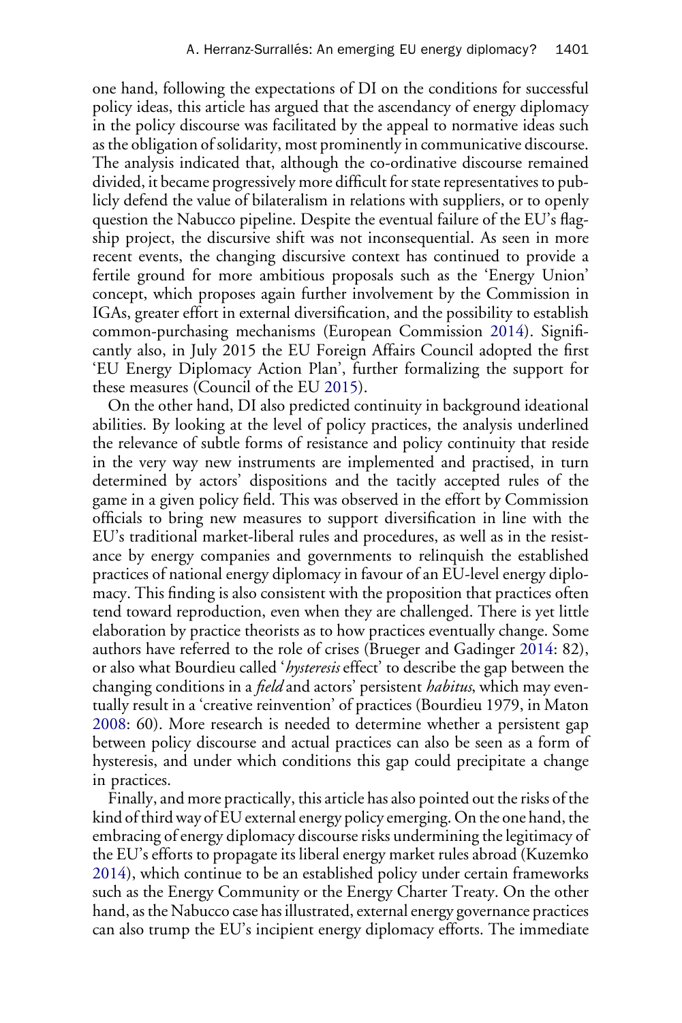one hand, following the expectations of DI on the conditions for successful policy ideas, this article has argued that the ascendancy of energy diplomacy in the policy discourse was facilitated by the appeal to normative ideas such as the obligation of solidarity, most prominently in communicative discourse. The analysis indicated that, although the co-ordinative discourse remained divided, it became progressively more difficult for state representatives to publicly defend the value of bilateralism in relations with suppliers, or to openly question the Nabucco pipeline. Despite the eventual failure of the EU's flagship project, the discursive shift was not inconsequential. As seen in more recent events, the changing discursive context has continued to provide a fertile ground for more ambitious proposals such as the 'Energy Union' concept, which proposes again further involvement by the Commission in IGAs, greater effort in external diversification, and the possibility to establish common-purchasing mechanisms (European Commission [2014](#page-19-0)). Significantly also, in July 2015 the EU Foreign Affairs Council adopted the first 'EU Energy Diplomacy Action Plan', further formalizing the support for these measures (Council of the EU [2015](#page-19-0)).

On the other hand, DI also predicted continuity in background ideational abilities. By looking at the level of policy practices, the analysis underlined the relevance of subtle forms of resistance and policy continuity that reside in the very way new instruments are implemented and practised, in turn determined by actors' dispositions and the tacitly accepted rules of the game in a given policy field. This was observed in the effort by Commission officials to bring new measures to support diversification in line with the EU's traditional market-liberal rules and procedures, as well as in the resistance by energy companies and governments to relinquish the established practices of national energy diplomacy in favour of an EU-level energy diplomacy. This finding is also consistent with the proposition that practices often tend toward reproduction, even when they are challenged. There is yet little elaboration by practice theorists as to how practices eventually change. Some authors have referred to the role of crises (Brueger and Gadinger [2014](#page-19-0): 82), or also what Bourdieu called '*hysteresis* effect' to describe the gap between the changing conditions in a *field* and actors' persistent *habitus*, which may eventually result in a 'creative reinvention' of practices (Bourdieu 1979, in Maton [2008:](#page-20-0) 60). More research is needed to determine whether a persistent gap between policy discourse and actual practices can also be seen as a form of hysteresis, and under which conditions this gap could precipitate a change in practices.

Finally, and more practically, this article has also pointed out the risks of the kind of third way of EU external energy policy emerging. On the one hand, the embracing of energy diplomacy discourse risks undermining the legitimacy of the EU's efforts to propagate its liberal energy market rules abroad (Kuzemko [2014\)](#page-20-0), which continue to be an established policy under certain frameworks such as the Energy Community or the Energy Charter Treaty. On the other hand, as the Nabucco case has illustrated, external energy governance practices can also trump the EU's incipient energy diplomacy efforts. The immediate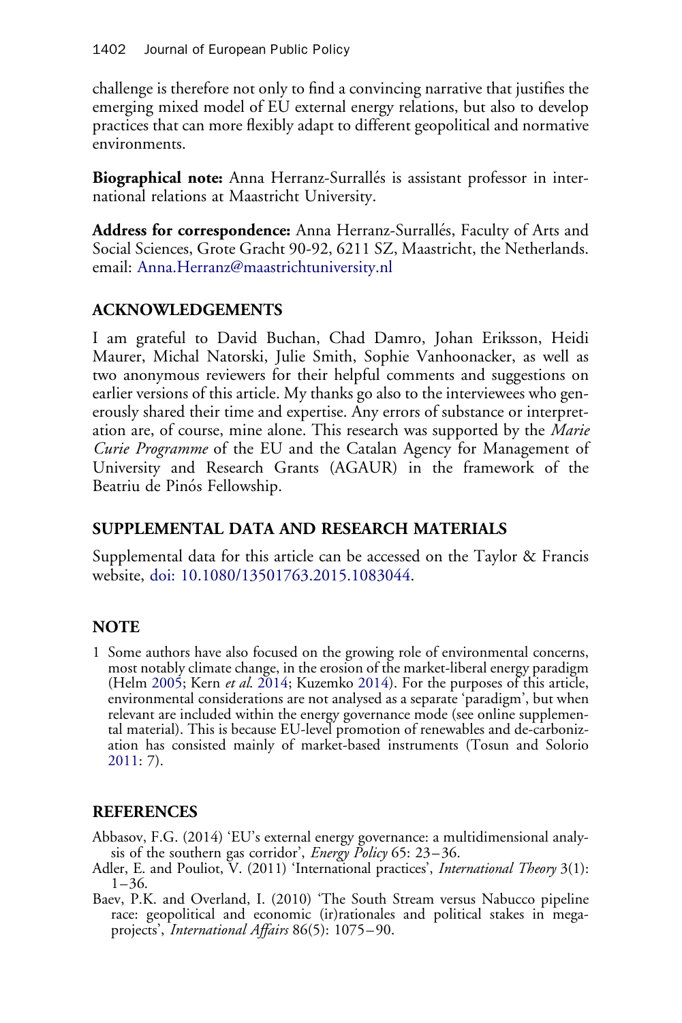<span id="page-18-0"></span>challenge is therefore not only to find a convincing narrative that justifies the emerging mixed model of EU external energy relations, but also to develop practices that can more flexibly adapt to different geopolitical and normative environments.

Biographical note: Anna Herranz-Surrallés is assistant professor in international relations at Maastricht University.

Address for correspondence: Anna Herranz-Surrallés, Faculty of Arts and Social Sciences, Grote Gracht 90-92, 6211 SZ, Maastricht, the Netherlands. email: [Anna.Herranz@maastrichtuniversity.nl](mailto:Anna.Herranz@maastrichtuniversity.nl)

## ACKNOWLEDGEMENTS

I am grateful to David Buchan, Chad Damro, Johan Eriksson, Heidi Maurer, Michal Natorski, Julie Smith, Sophie Vanhoonacker, as well as two anonymous reviewers for their helpful comments and suggestions on earlier versions of this article. My thanks go also to the interviewees who generously shared their time and expertise. Any errors of substance or interpretation are, of course, mine alone. This research was supported by the *Marie* Curie Programme of the EU and the Catalan Agency for Management of University and Research Grants (AGAUR) in the framework of the Beatriu de Pinós Fellowship.

# SUPPLEMENTAL DATA AND RESEARCH MATERIALS

Supplemental data for this article can be accessed on the Taylor & Francis website, [doi: 10.1080/13501763.2015.1083044](http://dx.doi.org/10.1080/13501763.2015.1083044).

# **NOTE**

1 Some authors have also focused on the growing role of environmental concerns, most notably climate change, in the erosion of the market-liberal energy paradigm (Helm [2005](#page-20-0); Kern et al. [2014](#page-20-0); Kuzemko [2014](#page-20-0)). For the purposes of this article, environmental considerations are not analysed as a separate 'paradigm', but when relevant are included within the energy governance mode (see online supplemental material). This is because EU-level promotion of renewables and de-carbonization has consisted mainly of market-based instruments (Tosun and Solorio [2011](#page-21-0): 7).

## **REFERENCES**

- Abbasov, F.G. (2014) 'EU's external energy governance: a multidimensional analysis of the southern gas corridor', Energy Policy 65: 23-36.
- Adler, E. and Pouliot, V. (2011) 'International practices', International Theory 3(1):  $1 - 36.$
- Baev, P.K. and Overland, I. (2010) 'The South Stream versus Nabucco pipeline race: geopolitical and economic (ir)rationales and political stakes in megaprojects', International Affairs 86(5): 1075–90.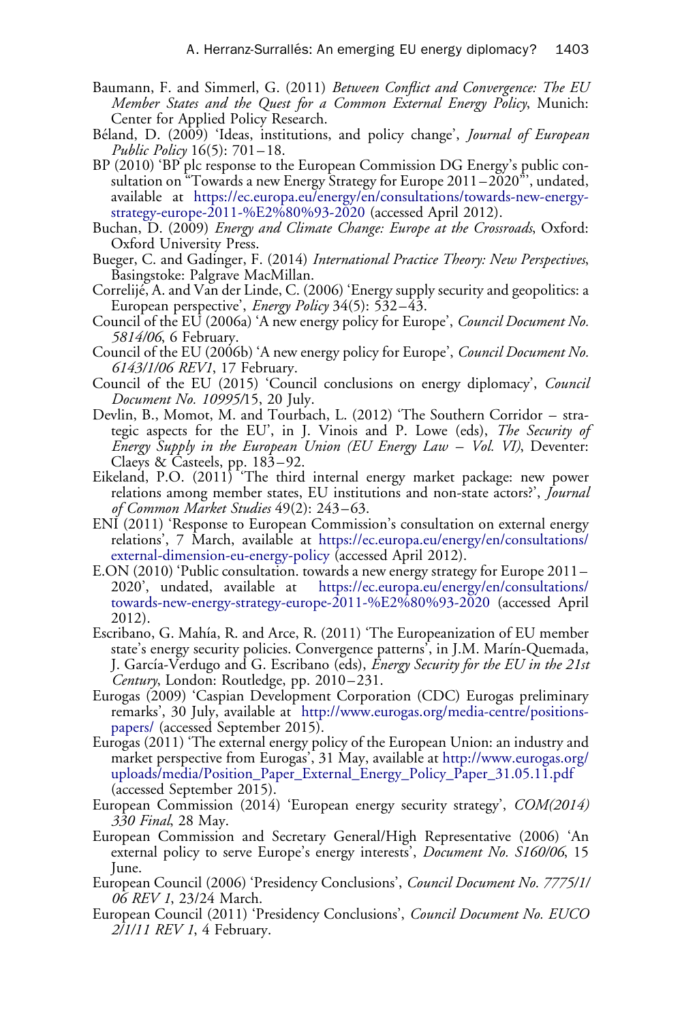- <span id="page-19-0"></span>Baumann, F. and Simmerl, G. (2011) Between Conflict and Convergence: The EU Member States and the Quest for a Common External Energy Policy, Munich: Center for Applied Policy Research.
- Béland, D. (2009) 'Ideas, institutions, and policy change', *Journal of European* Public Policy 16(5): 701–18.
- BP (2010) 'BP plc response to the European Commission DG Energy's public consultation on "Towards a new Energy Strategy for Europe  $2011-2020$ ", undated, available at [https://ec.europa.eu/energy/en/consultations/towards-new-energy](https://ec.europa.eu/energy/en/consultations/towards-new-energy-strategy-europe-2011-%E2%80%93-2020)[strategy-europe-2011-%E2%80%93-2020](https://ec.europa.eu/energy/en/consultations/towards-new-energy-strategy-europe-2011-%E2%80%93-2020) (accessed April 2012).
- Buchan, D. (2009) *Energy and Climate Change: Europe at the Crossroads*, Oxford: Oxford University Press.
- Bueger, C. and Gadinger, F. (2014) International Practice Theory: New Perspectives, Basingstoke: Palgrave MacMillan.
- Correlije´, A. and Van der Linde, C. (2006) 'Energy supply security and geopolitics: a European perspective', Energy Policy 34(5): 532-43.
- Council of the EU (2006a) 'A new energy policy for Europe', Council Document No. 5814/06, 6 February.
- Council of the EU (2006b) 'A new energy policy for Europe', Council Document No. 6143/1/06 REV1, 17 February.
- Council of the EU (2015) 'Council conclusions on energy diplomacy', Council Document No. 10995/15, 20 July.
- Devlin, B., Momot, M. and Tourbach, L. (2012) 'The Southern Corridor strategic aspects for the EU', in J. Vinois and P. Lowe (eds), The Security of Energy Supply in the European Union (EU Energy Law – Vol. VI), Deventer: Claeys & Casteels, pp. 183–92.
- Eikeland, P.O. (2011) 'The third internal energy market package: new power relations among member states, EU institutions and non-state actors?', Journal of Common Market Studies 49(2): 243–63.
- ENI (2011) 'Response to European Commission's consultation on external energy relations', 7 March, available at [https://ec.europa.eu/energy/en/consultations/](https://ec.europa.eu/energy/en/consultations/external-dimension-eu-energy-policy) [external-dimension-eu-energy-policy](https://ec.europa.eu/energy/en/consultations/external-dimension-eu-energy-policy) (accessed April 2012).
- E.ON (2010) 'Public consultation. towards a new energy strategy for Europe 2011–<br>2020', undated, available at https://ec.europa.eu/energy/en/consultations/ [https://ec.europa.eu/energy/en/consultations/](https://ec.europa.eu/energy/en/consultations/towards-new-energy-strategy-europe-2011-%E2%80%93-2020) [towards-new-energy-strategy-europe-2011-%E2%80%93-2020](https://ec.europa.eu/energy/en/consultations/towards-new-energy-strategy-europe-2011-%E2%80%93-2020) (accessed April 2012).
- Escribano, G. Mahía, R. and Arce, R. (2011) 'The Europeanization of EU member state's energy security policies. Convergence patterns', in J.M. Marín-Quemada, J. García-Verdugo and G. Escribano (eds), *Energy Security for the EU in the 21st* Century, London: Routledge, pp. 2010–231.
- Eurogas (2009) 'Caspian Development Corporation (CDC) Eurogas preliminary remarks', 30 July, available at [http://www.eurogas.org/media-centre/positions](http://www.eurogas.org/media-centre/positions-papers/)[papers/](http://www.eurogas.org/media-centre/positions-papers/) (accessed September 2015).
- Eurogas (2011) 'The external energy policy of the European Union: an industry and market perspective from Eurogas', 31 May, available at [http://www.eurogas.org/](http://www.eurogas.org/uploads/media/Position_Paper_External_Energy_Policy_Paper_31.05.11.pdf) [uploads/media/Position\\_Paper\\_External\\_Energy\\_Policy\\_Paper\\_31.05.11.pdf](http://www.eurogas.org/uploads/media/Position_Paper_External_Energy_Policy_Paper_31.05.11.pdf) (accessed September 2015).
- European Commission (2014) 'European energy security strategy', COM(2014) 330 Final, 28 May.
- European Commission and Secretary General/High Representative (2006) 'An external policy to serve Europe's energy interests', *Document No. S160/06*, 15 June.
- European Council (2006) 'Presidency Conclusions', Council Document No. 7775/1/ 06 REV 1, 23/24 March.
- European Council (2011) 'Presidency Conclusions', Council Document No. EUCO 2/1/11 REV 1, 4 February.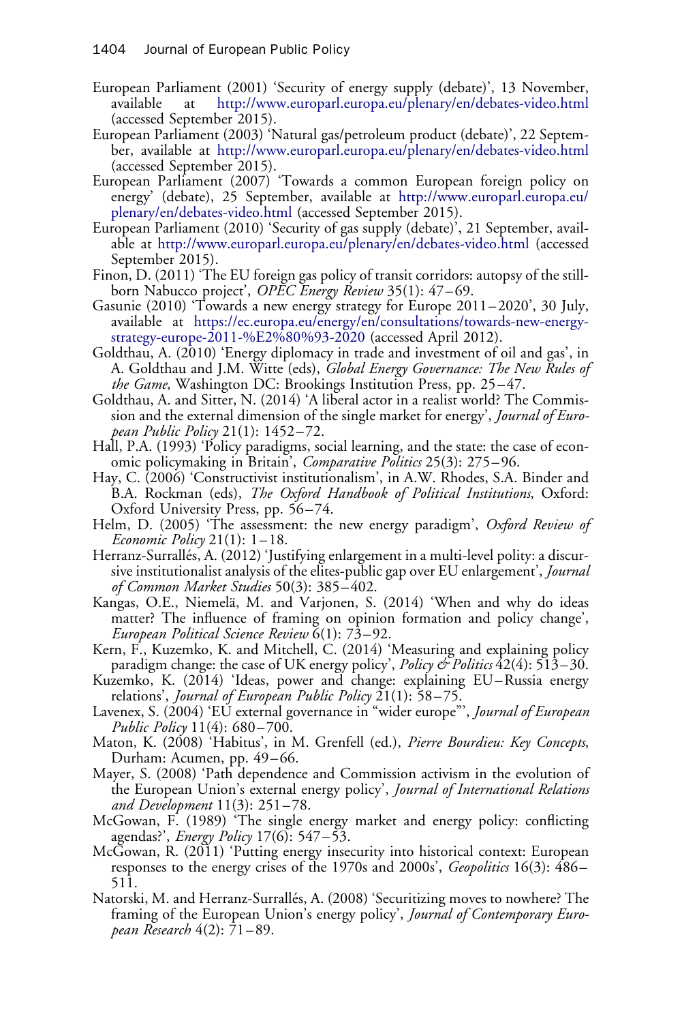- <span id="page-20-0"></span>European Parliament (2001) 'Security of energy supply (debate)', 13 November, <http://www.europarl.europa.eu/plenary/en/debates-video.html> (accessed September 2015).
- European Parliament (2003) 'Natural gas/petroleum product (debate)', 22 September, available at <http://www.europarl.europa.eu/plenary/en/debates-video.html> (accessed September 2015).
- European Parliament (2007) 'Towards a common European foreign policy on energy' (debate), 25 September, available at [http://www.europarl.europa.eu/](http://www.europarl.europa.eu/plenary/en/debates-video.html) [plenary/en/debates-video.html](http://www.europarl.europa.eu/plenary/en/debates-video.html) (accessed September 2015).
- European Parliament (2010) 'Security of gas supply (debate)', 21 September, available at <http://www.europarl.europa.eu/plenary/en/debates-video.html> (accessed September 2015).
- Finon, D. (2011) 'The EU foreign gas policy of transit corridors: autopsy of the stillborn Nabucco project', OPEC Energy Review 35(1): 47–69.
- Gasunie (2010) 'Towards a new energy strategy for Europe 2011–2020', 30 July, available at [https://ec.europa.eu/energy/en/consultations/towards-new-energy](https://ec.europa.eu/energy/en/consultations/towards-new-energy-strategy-europe-2011-%E2%80%93-2020)[strategy-europe-2011-%E2%80%93-2020](https://ec.europa.eu/energy/en/consultations/towards-new-energy-strategy-europe-2011-%E2%80%93-2020) (accessed April 2012).
- Goldthau, A. (2010) 'Energy diplomacy in trade and investment of oil and gas', in A. Goldthau and J.M. Witte (eds), *Global Energy Governance: The New Rules of* the Game, Washington DC: Brookings Institution Press, pp. 25–47.
- Goldthau, A. and Sitter, N. (2014) 'A liberal actor in a realist world? The Commission and the external dimension of the single market for energy', *Journal of Euro*pean Public Policy 21(1): 1452–72.
- Hall, P.A. (1993) 'Policy paradigms, social learning, and the state: the case of economic policymaking in Britain', Comparative Politics 25(3): 275-96.
- Hay, C. (2006) 'Constructivist institutionalism', in A.W. Rhodes, S.A. Binder and B.A. Rockman (eds), The Oxford Handbook of Political Institutions, Oxford: Oxford University Press, pp. 56–74.
- Helm, D. (2005) 'The assessment: the new energy paradigm', Oxford Review of Economic Policy 21(1):  $1-18$ .
- Herranz-Surrallés, A. (2012) 'Justifying enlargement in a multi-level polity: a discursive institutionalist analysis of the elites-public gap over EU enlargement', *Journal* of Common Market Studies 50(3): 385–402.
- Kangas, O.E., Niemelä, M. and Varjonen, S. (2014) 'When and why do ideas matter? The influence of framing on opinion formation and policy change', European Political Science Review  $\tilde{6}(1)$ : 73-92.
- Kern, F., Kuzemko, K. and Mitchell, C. (2014) 'Measuring and explaining policy paradigm change: the case of UK energy policy', *Policy & Politics*  $\overline{42}(4)$ :  $\overline{513} - 30$ .
- Kuzemko, K. (2014) 'Ideas, power and change: explaining EU–Russia energy relations', *Journal of European Public Policy*  $21(1)$ :  $58-75$ .
- Lavenex, S. (2004) 'EU external governance in "wider europe"', *Journal of European* Public Policy 11(4): 680-700.
- Maton, K. (2008) 'Habitus', in M. Grenfell (ed.), Pierre Bourdieu: Key Concepts, Durham: Acumen, pp. 49–66.
- Mayer, S. (2008) 'Path dependence and Commission activism in the evolution of the European Union's external energy policy', Journal of International Relations and Development 11(3): 251–78.
- McGowan, F. (1989) 'The single energy market and energy policy: conflicting agendas?', *Energy Policy* 17(6): 547–53.
- McGowan, R. (2011) 'Putting energy insecurity into historical context: European responses to the energy crises of the 1970s and 2000s', Geopolitics 16(3): 486– 511.
- Natorski, M. and Herranz-Surrallés, A. (2008) 'Securitizing moves to nowhere? The framing of the European Union's energy policy', *Journal of Contemporary Euro*pean Research 4(2): 71–89.